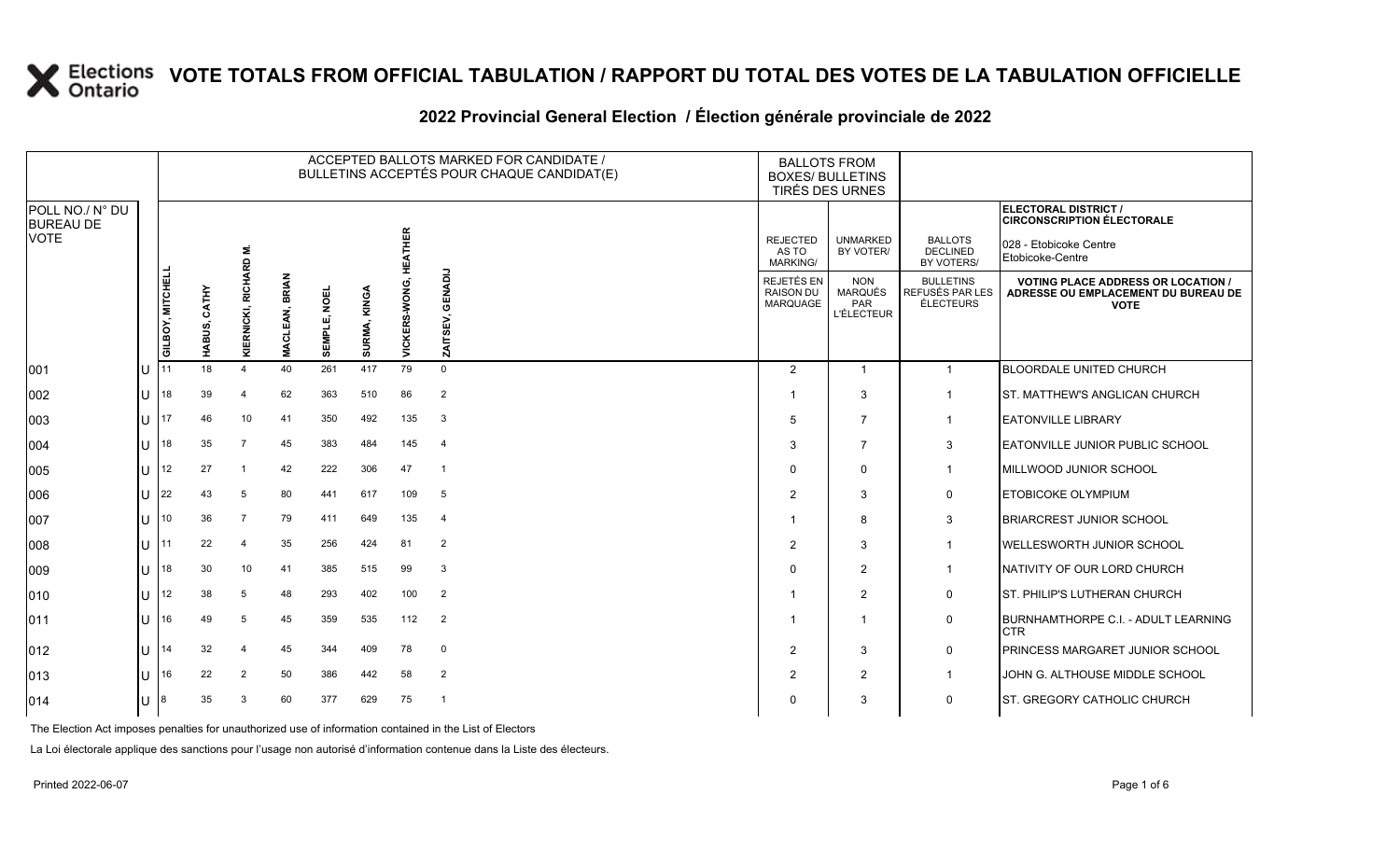|                                             |     |                  |       |                         |                                 |              |                 |                    | ACCEPTED BALLOTS MARKED FOR CANDIDATE /<br>BULLETINS ACCEPTÉS POUR CHAQUE CANDIDAT(E) | <b>BALLOTS FROM</b>                               | <b>BOXES/ BULLETINS</b><br>TIRÉS DES URNES               |                                                         |                                                                                                         |
|---------------------------------------------|-----|------------------|-------|-------------------------|---------------------------------|--------------|-----------------|--------------------|---------------------------------------------------------------------------------------|---------------------------------------------------|----------------------------------------------------------|---------------------------------------------------------|---------------------------------------------------------------------------------------------------------|
| POLL NO./ N° DU<br><b>BUREAU DE</b><br>VOTE |     |                  |       |                         |                                 |              |                 | EATHER             |                                                                                       | <b>REJECTED</b><br>AS TO<br><b>MARKING/</b>       | <b>UNMARKED</b><br>BY VOTER/                             | <b>BALLOTS</b><br><b>DECLINED</b><br>BY VOTERS/         | ELECTORAL DISTRICT /<br><b>CIRCONSCRIPTION ÉLECTORALE</b><br>028 - Etobicoke Centre<br>Etobicoke-Centre |
|                                             |     | GILBOY, MITCHELL | CATHY | RICHARD M<br>KIERNICKI, | <b>BRIAN</b><br><b>MACLEAN,</b> | SEMPLE, NOEL | KINGA<br>SURMA, | 로<br>VICKERS-WONG, | GENADIJ<br>ZAITSEV,                                                                   | <b>REJETÉS EN</b><br><b>RAISON DU</b><br>MARQUAGE | <b>NON</b><br><b>MARQUÉS</b><br>PAR<br><b>L'ÉLECTEUR</b> | <b>BULLETINS</b><br>REFUSÉS PAR LES<br><b>ÉLECTEURS</b> | <b>VOTING PLACE ADDRESS OR LOCATION /</b><br>ADRESSE OU EMPLACEMENT DU BUREAU DE<br><b>VOTE</b>         |
| 001                                         | IU  |                  | 18    |                         | 40                              | 261          | 417             | 79                 | $\Omega$                                                                              | $\mathbf{2}^{\circ}$                              | $\overline{1}$                                           | $\overline{1}$                                          | <b>BLOORDALE UNITED CHURCH</b>                                                                          |
| 002                                         | IU  | 18               | 39    | 4                       | 62                              | 363          | 510             | 86                 | 2                                                                                     |                                                   | 3                                                        | $\overline{1}$                                          | <b>IST. MATTHEW'S ANGLICAN CHURCH</b>                                                                   |
| 003                                         | IU  |                  | 46    | 10                      | 41                              | 350          | 492             | 135                | 3                                                                                     | .5                                                | $\overline{7}$                                           | $\mathbf 1$                                             | <b>EATONVILLE LIBRARY</b>                                                                               |
| 004                                         | ПT  | 18               | 35    | $\overline{7}$          | 45                              | 383          | 484             | 145                | $\overline{4}$                                                                        | 3                                                 | 7                                                        | 3                                                       | <b>EATONVILLE JUNIOR PUBLIC SCHOOL</b>                                                                  |
| 005                                         | IU  | 12               | 27    | -1                      | 42                              | 222          | 306             | 47                 | -1                                                                                    | $\Omega$                                          | $\mathbf 0$                                              | $\overline{1}$                                          | MILLWOOD JUNIOR SCHOOL                                                                                  |
| 006                                         | IU  | 22               | 43    | 5                       | 80                              | 441          | 617             | 109                | 5                                                                                     | $\overline{2}$                                    | 3                                                        | $\mathbf 0$                                             | <b>ETOBICOKE OLYMPIUM</b>                                                                               |
| 007                                         | ПT  | 10               | 36    | $\overline{7}$          | 79                              | 411          | 649             | 135                | $\overline{4}$                                                                        |                                                   | 8                                                        | 3                                                       | <b>BRIARCREST JUNIOR SCHOOL</b>                                                                         |
| 008                                         | IU  | 111              | 22    | $\overline{4}$          | 35                              | 256          | 424             | 81                 | 2                                                                                     | $\overline{2}$                                    | 3                                                        | $\mathbf 1$                                             | WELLESWORTH JUNIOR SCHOOL                                                                               |
| 009                                         | Ш   | 18               | 30    | 10                      | 41                              | 385          | 515             | 99                 | 3                                                                                     | $\Omega$                                          | $\overline{2}$                                           | $\overline{1}$                                          | NATIVITY OF OUR LORD CHURCH                                                                             |
| 010                                         | IU  | 12               | 38    | 5                       | 48                              | 293          | 402             | 100                | $\overline{2}$                                                                        |                                                   | 2                                                        | $\mathbf 0$                                             | ST. PHILIP'S LUTHERAN CHURCH                                                                            |
| 011                                         | ΠT  | 116              | 49    | 5                       | 45                              | 359          | 535             | 112                | $\overline{2}$                                                                        |                                                   | $\overline{\mathbf{1}}$                                  | $\mathbf 0$                                             | BURNHAMTHORPE C.I. - ADULT LEARNING<br><b>CTR</b>                                                       |
| 012                                         | ΙU  | 14               | 32    | 4                       | 45                              | 344          | 409             | 78                 | $\mathbf 0$                                                                           | $\overline{2}$                                    | 3                                                        | $\mathbf 0$                                             | <b>PRINCESS MARGARET JUNIOR SCHOOL</b>                                                                  |
| 013                                         | IU  | .16              | 22    | 2                       | 50                              | 386          | 442             | 58                 | 2                                                                                     | $\overline{2}$                                    | 2                                                        |                                                         | JOHN G. ALTHOUSE MIDDLE SCHOOL                                                                          |
| 014                                         | IU. | 8                | 35    | 3                       | 60                              | 377          | 629             | 75                 | -1                                                                                    | 0                                                 | 3                                                        | $\mathbf 0$                                             | <b>IST. GREGORY CATHOLIC CHURCH</b>                                                                     |

#### 2022 Provincial General Election / Election générale provinciale de 2022

The Election Act imposes penalties for unauthorized use of information contained in the List of Electors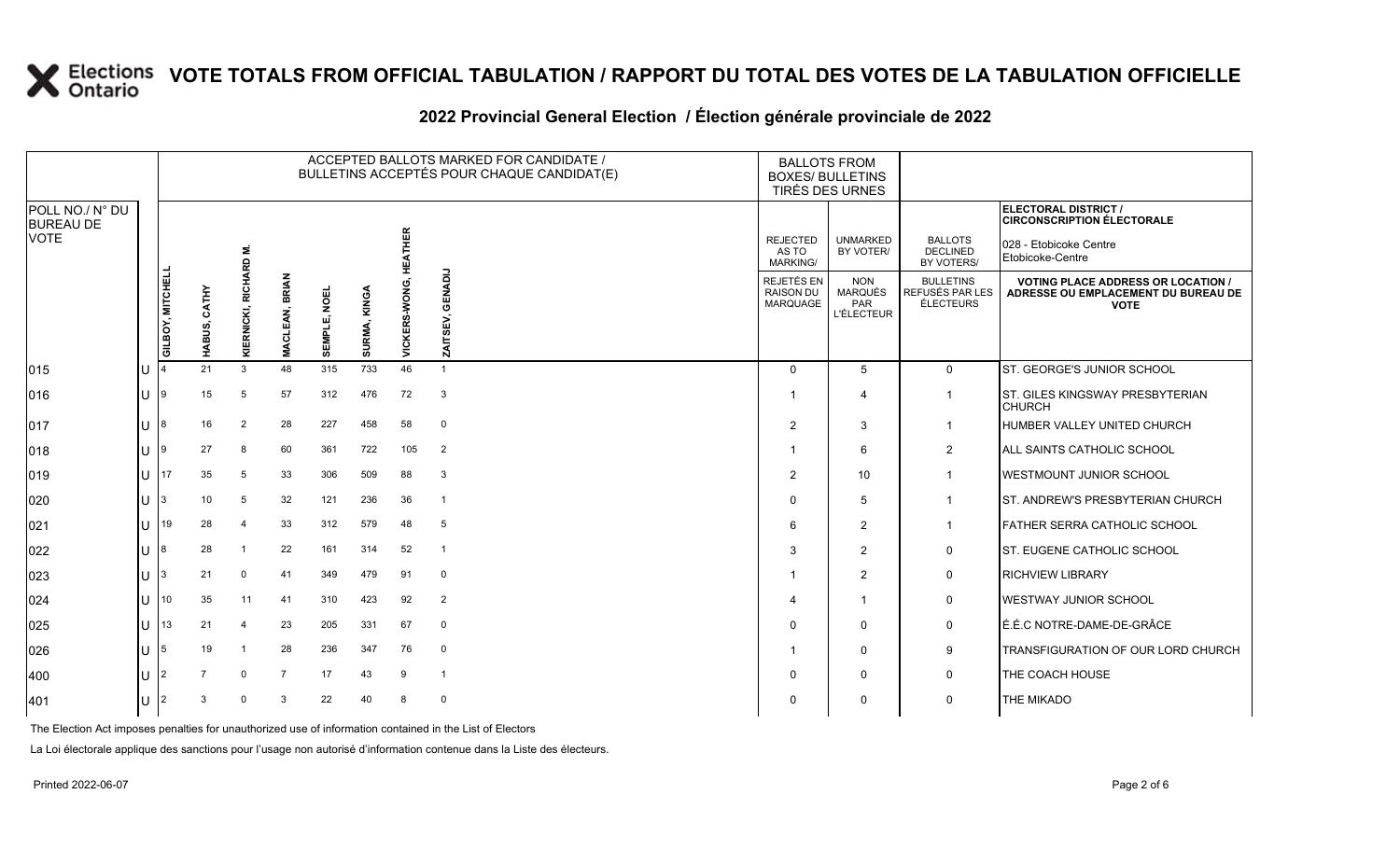|                                     |     |                  |                |                          |                                      |                     |              |                | ACCEPTED BALLOTS MARKED FOR CANDIDATE /<br>BULLETINS ACCEPTÉS POUR CHAQUE CANDIDAT(E) | <b>BALLOTS FROM</b><br><b>BOXES/ BULLETINS</b>    | TIRÉS DES URNES                                   |                                                         |                                                                                                 |
|-------------------------------------|-----|------------------|----------------|--------------------------|--------------------------------------|---------------------|--------------|----------------|---------------------------------------------------------------------------------------|---------------------------------------------------|---------------------------------------------------|---------------------------------------------------------|-------------------------------------------------------------------------------------------------|
| POLL NO./ N° DU<br><b>BUREAU DE</b> |     |                  |                |                          |                                      |                     |              |                |                                                                                       |                                                   |                                                   |                                                         | ELECTORAL DISTRICT /<br><b>CIRCONSCRIPTION ÉLECTORALE</b>                                       |
| VOTE                                |     |                  |                |                          |                                      |                     |              | <b>HEATHER</b> |                                                                                       | <b>REJECTED</b><br>AS TO<br>MARKING/              | <b>UNMARKED</b><br>BY VOTER/                      | <b>BALLOTS</b><br><b>DECLINED</b><br>BY VOTERS/         | 028 - Etobicoke Centre<br>Etobicoke-Centre                                                      |
|                                     |     | GILBOY, MITCHELL | CATHY<br>ABUS, | RICHARD M.<br>KIERNICKI, | <b>BRIAN</b><br>EAN,<br><b>MACLE</b> | <b>SEMPLE, NOEL</b> | SURMA, KINGA | VICKERS-WONG,  | ENADIJ<br>ਨ<br>ZAITSEV,                                                               | REJETÉS EN<br><b>RAISON DU</b><br><b>MARQUAGE</b> | <b>NON</b><br>MARQUÉS<br>PAR<br><b>L'ÉLECTEUR</b> | <b>BULLETINS</b><br>REFUSÉS PAR LES<br><b>ÉLECTEURS</b> | <b>VOTING PLACE ADDRESS OR LOCATION /</b><br>ADRESSE OU EMPLACEMENT DU BUREAU DE<br><b>VOTE</b> |
| 015                                 | IU  |                  | T.<br>21       | 3                        | 48                                   | 315                 | 733          | 46             | $\overline{1}$                                                                        | $\Omega$                                          | $5^{\circ}$                                       | $\Omega$                                                | ST. GEORGE'S JUNIOR SCHOOL                                                                      |
| 016                                 | IU  | - 19             | 15             | 5                        | 57                                   | 312                 | 476          | 72             | 3                                                                                     | -1                                                | $\boldsymbol{\Delta}$                             | $\mathbf{1}$                                            | <b>ST. GILES KINGSWAY PRESBYTERIAN</b><br><b>CHURCH</b>                                         |
| 017                                 | IU. | 18               | 16             | $\overline{2}$           | 28                                   | 227                 | 458          | 58             | $\mathbf 0$                                                                           | $\overline{2}$                                    | 3                                                 | $\mathbf{1}$                                            | HUMBER VALLEY UNITED CHURCH                                                                     |
| 018                                 | IU  | ١q               | 27             | 8                        | 60                                   | 361                 | 722          | 105            | $\overline{2}$                                                                        | -1                                                | 6                                                 | $\overline{2}$                                          | ALL SAINTS CATHOLIC SCHOOL                                                                      |
| 019                                 | ΙU  | 17               | 35             | 5                        | 33                                   | 306                 | 509          | 88             | 3                                                                                     | 2                                                 | 10                                                | $\mathbf{1}$                                            | <b>WESTMOUNT JUNIOR SCHOOL</b>                                                                  |
| 020                                 | IU. | 13               | 10             | 5                        | 32                                   | 121                 | 236          | 36             | $\overline{1}$                                                                        | $\mathbf{0}$                                      | 5                                                 | $\mathbf{1}$                                            | ST. ANDREW'S PRESBYTERIAN CHURCH                                                                |
| 021                                 | IU  | 19               | 28             | 4                        | 33                                   | 312                 | 579          | 48             | 5                                                                                     | 6                                                 | $\overline{2}$                                    | $\mathbf{1}$                                            | <b>FATHER SERRA CATHOLIC SCHOOL</b>                                                             |
| 022                                 | IU  | 18               | 28             | -1                       | 22                                   | 161                 | 314          | 52             | $\overline{\phantom{a}}$                                                              | 3                                                 | 2                                                 | 0                                                       | <b>ST. EUGENE CATHOLIC SCHOOL</b>                                                               |
| 023                                 | IU. | 13               | 21             | $\mathbf 0$              | 41                                   | 349                 | 479          | 91             | $\mathbf 0$                                                                           |                                                   | 2                                                 | 0                                                       | <b>RICHVIEW LIBRARY</b>                                                                         |
| 024                                 | IU  |                  | 35             | 11                       | 41                                   | 310                 | 423          | 92             | $\overline{2}$                                                                        | 4                                                 | $\overline{\mathbf{1}}$                           | 0                                                       | <b>WESTWAY JUNIOR SCHOOL</b>                                                                    |
| 025                                 | IU  | 13               | 21             | $\overline{4}$           | 23                                   | 205                 | 331          | 67             | $\mathbf 0$                                                                           | $\Omega$                                          | $\Omega$                                          | 0                                                       | É.É.C NOTRE-DAME-DE-GRÂCE                                                                       |
| 026                                 | IU. | 15               | 19             | -1                       | 28                                   | 236                 | 347          | 76             | $\mathbf 0$                                                                           |                                                   | $\mathbf{0}$                                      | 9                                                       | TRANSFIGURATION OF OUR LORD CHURCH.                                                             |
| 400                                 | IU  |                  | $\overline{7}$ | $\Omega$                 | $\overline{7}$                       | 17                  | 43           | 9              | $\overline{\mathbf{1}}$                                                               | $\Omega$                                          | $\Omega$                                          | 0                                                       | THE COACH HOUSE                                                                                 |
| 401                                 | ΙU  | $\mathsf{I}2$    | 3              | $\Omega$                 | 3                                    | 22                  | 40           | 8              | $\mathbf 0$                                                                           | $\mathbf{0}$                                      | $\Omega$                                          | 0                                                       | <b>THE MIKADO</b>                                                                               |
|                                     |     |                  |                |                          |                                      |                     |              |                |                                                                                       |                                                   |                                                   |                                                         |                                                                                                 |

#### **2022 Provincial General Election / Élection générale provinciale de 2022**

The Election Act imposes penalties for unauthorized use of information contained in the List of Electors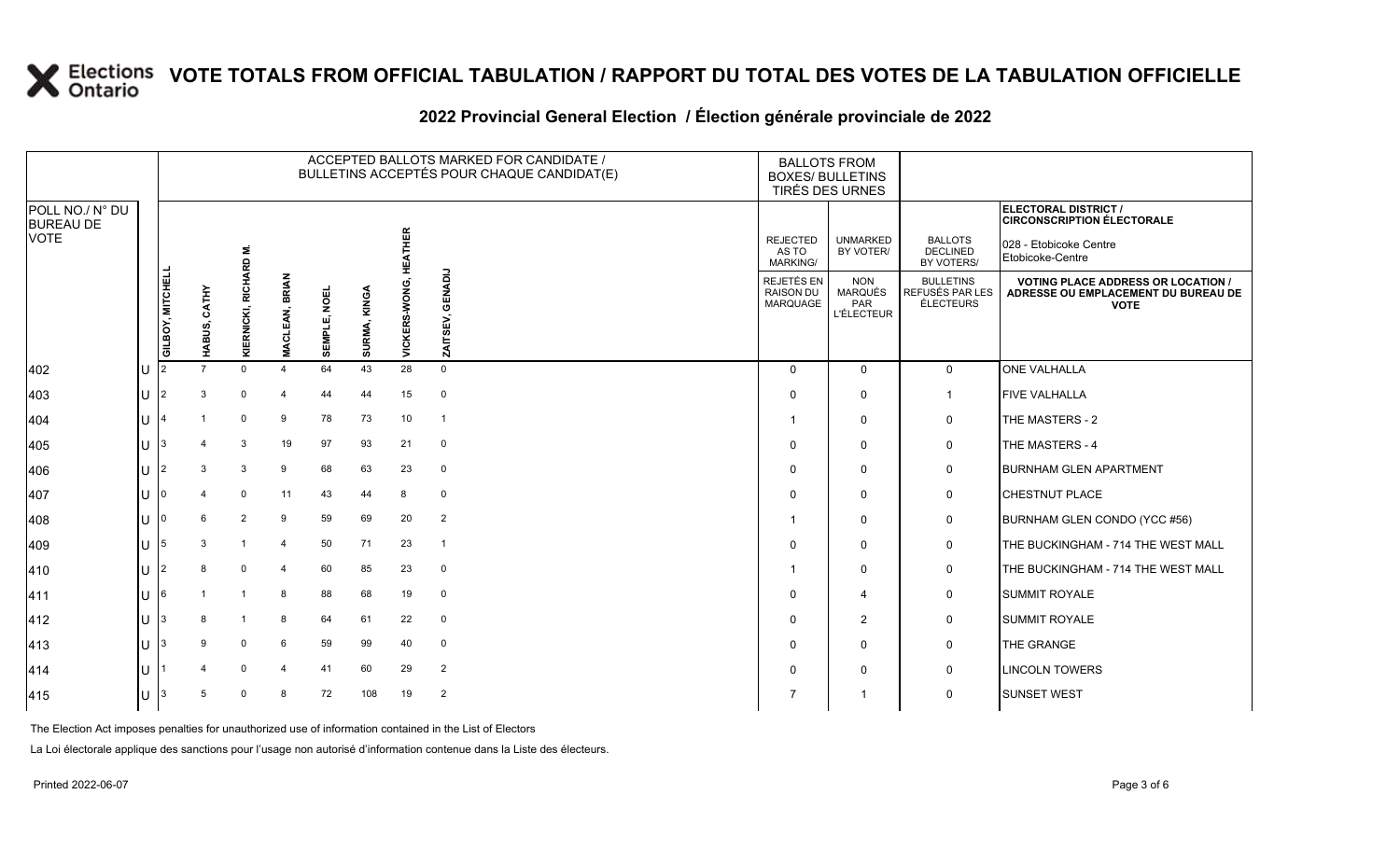|                                             |           |                  |             |                             |                       |              |                 |                | ACCEPTED BALLOTS MARKED FOR CANDIDATE /<br>BULLETINS ACCEPTÉS POUR CHAQUE CANDIDAT(E) | <b>BALLOTS FROM</b><br><b>BOXES/ BULLETINS</b> | TIRÉS DES URNES                                   |                                                  |                                                                                                                |
|---------------------------------------------|-----------|------------------|-------------|-----------------------------|-----------------------|--------------|-----------------|----------------|---------------------------------------------------------------------------------------|------------------------------------------------|---------------------------------------------------|--------------------------------------------------|----------------------------------------------------------------------------------------------------------------|
| POLL NO./ N° DU<br><b>BUREAU DE</b><br>VOTE |           |                  |             | RD M.                       |                       |              |                 | <b>HEATHER</b> |                                                                                       | <b>REJECTED</b><br>AS TO<br><b>MARKING/</b>    | <b>UNMARKED</b><br>BY VOTER/                      | <b>BALLOTS</b><br><b>DECLINED</b><br>BY VOTERS/  | <b>ELECTORAL DISTRICT /</b><br><b>CIRCONSCRIPTION ÉLECTORALE</b><br>028 - Etobicoke Centre<br>Etobicoke-Centre |
|                                             |           | GILBOY, MITCHELI | CATHY<br>ທົ | <b>RICHAF</b><br>KIERNICKI, | <b>MACLEAN, BRIAN</b> | SEMPLE, NOEL | KINGA<br>SURMA, | VICKERS-WONG,  | GENADIJ<br>ZAITSEV,                                                                   | REJETÉS EN<br><b>RAISON DU</b><br>MARQUAGE     | <b>NON</b><br>MARQUÉS<br>PAR<br><b>L'ÉLECTEUR</b> | <b>BULLETINS</b><br>REFUSÉS PAR LES<br>ÉLECTEURS | <b>VOTING PLACE ADDRESS OR LOCATION /</b><br>ADRESSE OU EMPLACEMENT DU BUREAU DE<br><b>VOTE</b>                |
| 402                                         | IU.       | 12               |             | $\Omega$                    | 4                     | 64           | 43              | 28             | $\mathbf 0$                                                                           | $\Omega$                                       | $\mathbf{0}$                                      | $\mathbf 0$                                      | <b>ONE VALHALLA</b>                                                                                            |
| 403                                         | IU        | 12               | 3           | $\mathbf 0$                 | $\overline{4}$        | 44           | 44              | 15             | $\mathbf 0$                                                                           | $\Omega$                                       | 0                                                 | $\mathbf{1}$                                     | <b>FIVE VALHALLA</b>                                                                                           |
| 404                                         | lU.       |                  |             | $\mathbf 0$                 | 9                     | 78           | 73              | 10             | $\overline{1}$                                                                        |                                                | 0                                                 | 0                                                | THE MASTERS - 2                                                                                                |
| 405                                         | U         | $\overline{13}$  |             | 3                           | 19                    | 97           | 93              | 21             | $\mathbf 0$                                                                           | $\Omega$                                       | $\mathbf 0$                                       | 0                                                | THE MASTERS - 4                                                                                                |
| 406                                         | U         | 12               | 3           | 3                           | 9                     | 68           | 63              | 23             | $\mathbf 0$                                                                           | $\Omega$                                       | $\Omega$                                          | 0                                                | <b>BURNHAM GLEN APARTMENT</b>                                                                                  |
| 407                                         | U         | $\overline{10}$  |             | $\mathbf 0$                 | 11                    | 43           | 44              | 8              | 0                                                                                     | $\Omega$                                       | $\Omega$                                          | 0                                                | <b>CHESTNUT PLACE</b>                                                                                          |
| 408                                         | U         | ı٥               | 6           | $\overline{2}$              | 9                     | 59           | 69              | 20             | $\overline{2}$                                                                        |                                                | 0                                                 | 0                                                | BURNHAM GLEN CONDO (YCC #56)                                                                                   |
| 409                                         | U         | 15               | 3           | $\overline{1}$              | $\overline{4}$        | 50           | 71              | 23             | $\overline{1}$                                                                        | $\Omega$                                       | $\mathbf 0$                                       | 0                                                | THE BUCKINGHAM - 714 THE WEST MALL                                                                             |
| 410                                         | IU        | $\mathsf{I}2$    | 8           | $\mathbf 0$                 | $\overline{4}$        | 60           | 85              | 23             | $\mathbf 0$                                                                           |                                                | $\mathbf 0$                                       | 0                                                | THE BUCKINGHAM - 714 THE WEST MALL                                                                             |
| 411                                         | U         | 16               |             | $\overline{1}$              | 8                     | 88           | 68              | 19             | $\mathbf 0$                                                                           | $\Omega$                                       | $\overline{\mathcal{A}}$                          | 0                                                | <b>SUMMIT ROYALE</b>                                                                                           |
| 412                                         | U         | $\mathsf{I}3$    | 8           | $\mathbf{1}$                | 8                     | 64           | 61              | 22             | $\mathbf 0$                                                                           | $\Omega$                                       | $\overline{2}$                                    | 0                                                | <b>SUMMIT ROYALE</b>                                                                                           |
| 413                                         | $ U ^{3}$ |                  | 9           | $\mathbf 0$                 | 6                     | 59           | 99              | 40             | $\mathbf 0$                                                                           | $\Omega$                                       | $\mathbf 0$                                       | 0                                                | THE GRANGE                                                                                                     |
| 414                                         | IU        |                  |             | 0                           | 4                     | 41           | 60              | 29             | $\overline{2}$                                                                        | $\Omega$                                       | 0                                                 | 0                                                | <b>LINCOLN TOWERS</b>                                                                                          |
| 415                                         | IU.       | $\vert$ 3        | 5           | $\Omega$                    | 8                     | 72           | 108             | 19             | $\overline{2}$                                                                        |                                                | -1                                                | 0                                                | <b>SUNSET WEST</b>                                                                                             |

#### **2022 Provincial General Election / Élection générale provinciale de 2022**

The Election Act imposes penalties for unauthorized use of information contained in the List of Electors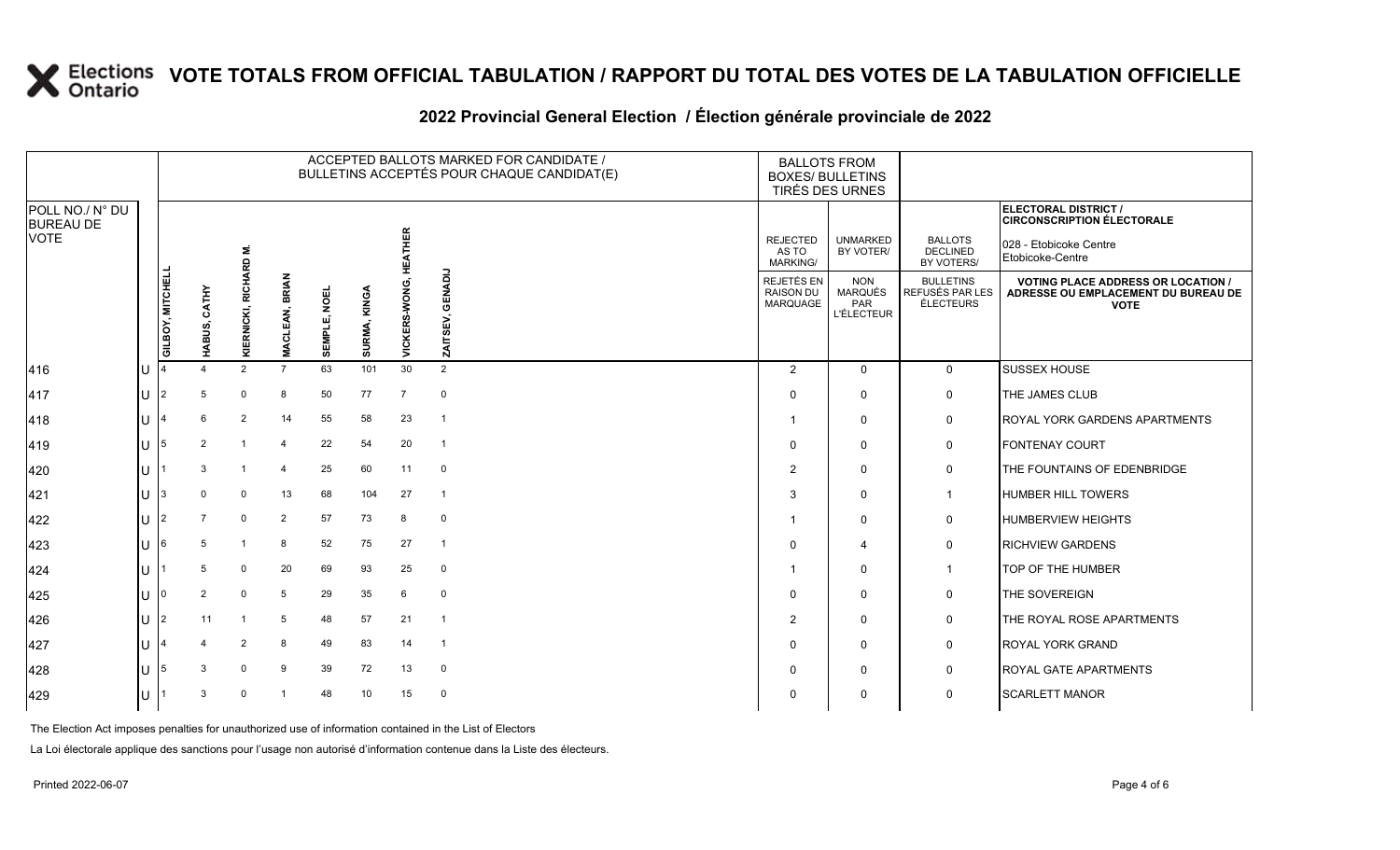|                                     |           |                  |                |                         |                       |              |                   |                           | ACCEPTED BALLOTS MARKED FOR CANDIDATE /<br>BULLETINS ACCEPTÉS POUR CHAQUE CANDIDAT(E) |                                             | <b>BALLOTS FROM</b><br><b>BOXES/ BULLETINS</b><br>TIRÉS DES URNES |                                                         |                                                                                                 |
|-------------------------------------|-----------|------------------|----------------|-------------------------|-----------------------|--------------|-------------------|---------------------------|---------------------------------------------------------------------------------------|---------------------------------------------|-------------------------------------------------------------------|---------------------------------------------------------|-------------------------------------------------------------------------------------------------|
| POLL NO./ N° DU<br><b>BUREAU DE</b> |           |                  |                |                         |                       |              |                   |                           |                                                                                       |                                             |                                                                   |                                                         | ELECTORAL DISTRICT /<br><b>CIRCONSCRIPTION ÉLECTORALE</b>                                       |
| <b>VOTE</b>                         |           |                  |                | RD M.                   |                       |              |                   | 王<br>王<br>Ŧ               |                                                                                       | <b>REJECTED</b><br>AS TO<br><b>MARKING/</b> | <b>UNMARKED</b><br>BY VOTER/                                      | <b>BALLOTS</b><br><b>DECLINED</b><br>BY VOTERS/         | 028 - Etobicoke Centre<br>Etobicoke-Centre                                                      |
|                                     |           | GILBOY, MITCHELI | CATHY<br>ĝ,    | KIERNICKI, RICHAI       | <b>MACLEAN, BRIAN</b> | SEMPLE, NOEL | KINGA<br>SURMA, I | ERS-WONG,<br><b>VICKI</b> | GENADIJ<br>ZAITSEV,                                                                   | REJETÉS EN<br><b>RAISON DU</b><br>MARQUAGE  | <b>NON</b><br>MARQUÉS<br>PAR<br><b>L'ÉLECTEUR</b>                 | <b>BULLETINS</b><br>REFUSÉS PAR LES<br><b>ÉLECTEURS</b> | <b>VOTING PLACE ADDRESS OR LOCATION /</b><br>ADRESSE OU EMPLACEMENT DU BUREAU DE<br><b>VOTE</b> |
| 416                                 | U         |                  |                | $\mathcal{P}$           | $\overline{7}$        | 63           | 101               | 30                        | 2                                                                                     | 2                                           | $\Omega$                                                          | $\mathbf{0}$                                            | <b>SUSSEX HOUSE</b>                                                                             |
| 417                                 | U         | 12               | 5              | 0                       | 8                     | 50           | 77                | 7                         | $\mathbf 0$                                                                           | $\Omega$                                    | $\Omega$                                                          | 0                                                       | THE JAMES CLUB                                                                                  |
| 418                                 | U         |                  | 6              | 2                       | 14                    | 55           | 58                | 23                        | $\overline{1}$                                                                        |                                             | 0                                                                 | 0                                                       | <b>ROYAL YORK GARDENS APARTMENTS</b>                                                            |
| 419                                 | U $15$    |                  | 2              |                         | 4                     | 22           | 54                | 20                        | $\overline{1}$                                                                        | 0                                           | 0                                                                 | 0                                                       | <b>FONTENAY COURT</b>                                                                           |
| 420                                 | U         |                  | 3              | $\mathbf{1}$            | 4                     | 25           | 60                | 11                        | $\mathbf 0$                                                                           | 2                                           | $\Omega$                                                          | 0                                                       | THE FOUNTAINS OF EDENBRIDGE                                                                     |
| 421                                 | $U$   $3$ |                  | $\Omega$       | $\mathbf 0$             | 13                    | 68           | 104               | 27                        | $\overline{1}$                                                                        | 3                                           | $\mathbf 0$                                                       | -1                                                      | <b>HUMBER HILL TOWERS</b>                                                                       |
| 422                                 | U         | $\frac{12}{2}$   | $\overline{7}$ | $\Omega$                | 2                     | 57           | 73                | 8                         | $\mathbf 0$                                                                           |                                             | $\Omega$                                                          | 0                                                       | <b>HUMBERVIEW HEIGHTS</b>                                                                       |
| 423                                 | U         | -16              | 5              | $\overline{1}$          | 8                     | 52           | 75                | 27                        | $\overline{1}$                                                                        | $\Omega$                                    | $\boldsymbol{\Delta}$                                             | $\mathbf 0$                                             | <b>RICHVIEW GARDENS</b>                                                                         |
| 424                                 | υI        |                  | 5              | $\mathbf 0$             | 20                    | 69           | 93                | 25                        | $\mathbf 0$                                                                           |                                             | $\Omega$                                                          | $\mathbf{1}$                                            | TOP OF THE HUMBER                                                                               |
| 425                                 | U         | 10               | 2              | $\mathbf 0$             | 5                     | 29           | 35                | 6                         | $\mathbf 0$                                                                           | 0                                           | $\mathbf{0}$                                                      | 0                                                       | THE SOVEREIGN                                                                                   |
| 426                                 | U         | 12               | 11             | $\overline{\mathbf{1}}$ | 5                     | 48           | 57                | 21                        | $\overline{1}$                                                                        | $\overline{2}$                              | $\Omega$                                                          | $\mathbf 0$                                             | THE ROYAL ROSE APARTMENTS                                                                       |
| 427                                 | $U$ 14    |                  |                | $\overline{2}$          | 8                     | 49           | 83                | 14                        | $\overline{1}$                                                                        | 0                                           | $\mathbf 0$                                                       | 0                                                       | <b>ROYAL YORK GRAND</b>                                                                         |
| 428                                 | U         | -15              | 3              | $\Omega$                | 9                     | 39           | 72                | 13                        | $\mathbf 0$                                                                           | 0                                           | 0                                                                 | $\mathbf 0$                                             | <b>ROYAL GATE APARTMENTS</b>                                                                    |
| 429                                 | U         |                  | 3              | $\Omega$                |                       | 48           | 10                | 15                        | $\mathbf 0$                                                                           | 0                                           | $\Omega$                                                          | 0                                                       | <b>SCARLETT MANOR</b>                                                                           |

#### **2022 Provincial General Election / Élection générale provinciale de 2022**

The Election Act imposes penalties for unauthorized use of information contained in the List of Electors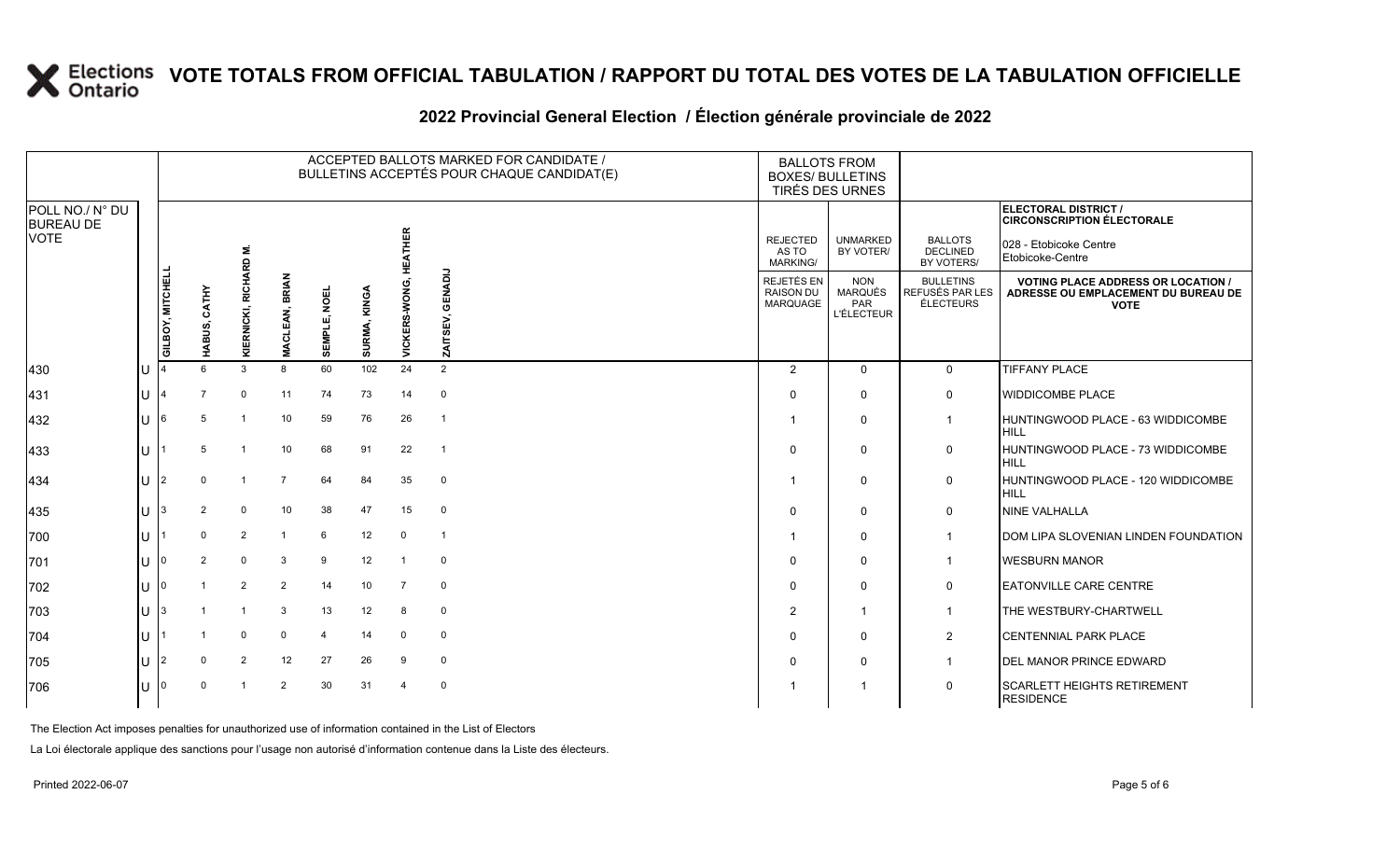|                                             |                    |                  |                 |                             |                                 |              |                 |                       | ACCEPTED BALLOTS MARKED FOR CANDIDATE /<br>BULLETINS ACCEPTÉS POUR CHAQUE CANDIDAT(E) |                                             | <b>BALLOTS FROM</b><br><b>BOXES/ BULLETINS</b><br>TIRÉS DES URNES |                                                         |                                                                                                         |
|---------------------------------------------|--------------------|------------------|-----------------|-----------------------------|---------------------------------|--------------|-----------------|-----------------------|---------------------------------------------------------------------------------------|---------------------------------------------|-------------------------------------------------------------------|---------------------------------------------------------|---------------------------------------------------------------------------------------------------------|
| POLL NO./ N° DU<br><b>BUREAU DE</b><br>VOTE |                    |                  |                 | 6                           |                                 |              |                 |                       |                                                                                       | <b>REJECTED</b><br>AS TO<br><b>MARKING/</b> | <b>UNMARKED</b><br>BY VOTER/                                      | <b>BALLOTS</b><br><b>DECLINED</b><br>BY VOTERS/         | ELECTORAL DISTRICT /<br><b>CIRCONSCRIPTION ÉLECTORALE</b><br>028 - Etobicoke Centre<br>Etobicoke-Centre |
|                                             |                    | GILBOY, MITCHELI | CATHY<br>HABUS, | <b>RICHAR</b><br>KIERNICKI, | <b>BRIAN</b><br><b>MACLEAN,</b> | SEMPLE, NOEL | KINGA<br>SURMA, | VICKERS-WONG, HEATHER | $\frac{1}{2}$<br>Ā                                                                    | REJETÉS EN<br><b>RAISON DU</b><br>MARQUAGE  | <b>NON</b><br>MARQUÉS<br><b>PAR</b><br><b>L'ÉLECTEUR</b>          | <b>BULLETINS</b><br><b>REFUSÉS PAR LES</b><br>ÉLECTEURS | <b>VOTING PLACE ADDRESS OR LOCATION /</b><br>ADRESSE OU EMPLACEMENT DU BUREAU DE<br><b>VOTE</b>         |
| 430                                         | IU                 |                  | $6^{\circ}$     | 3                           | 8                               | 60           | 102             | 24                    | 2                                                                                     | 2                                           | $\Omega$                                                          | $\mathbf 0$                                             | <b>TIFFANY PLACE</b>                                                                                    |
| 431                                         | IU                 | 14               | $\overline{7}$  | $\mathbf 0$                 | 11                              | 74           | 73              | 14                    | $\mathsf 0$                                                                           | $\Omega$                                    | $\Omega$                                                          | $\mathbf 0$                                             | <b>WIDDICOMBE PLACE</b>                                                                                 |
| 432                                         | IU.                | 16               | -5              | $\overline{1}$              | 10                              | 59           | 76              | 26                    | $\overline{1}$                                                                        |                                             | $\mathbf{0}$                                                      | $\mathbf 1$                                             | HUNTINGWOOD PLACE - 63 WIDDICOMBE<br><b>HILL</b>                                                        |
| 433                                         | U                  |                  | 5               | $\overline{1}$              | 10                              | 68           | 91              | 22                    | $\overline{1}$                                                                        | $\Omega$                                    | $\Omega$                                                          | $\mathbf 0$                                             | HUNTINGWOOD PLACE - 73 WIDDICOMBE<br><b>HILL</b>                                                        |
| 434                                         | U                  | 12               | $\Omega$        | $\overline{1}$              | $\overline{7}$                  | 64           | 84              | 35                    | $\mathbf 0$                                                                           |                                             | $\mathbf 0$                                                       | 0                                                       | HUNTINGWOOD PLACE - 120 WIDDICOMBE<br><b>HILL</b>                                                       |
| 435                                         | U                  | I3               | 2               | $\mathbf 0$                 | 10                              | 38           | 47              | 15                    | $\mathbf 0$                                                                           | $\Omega$                                    | $\Omega$                                                          | 0                                                       | <b>NINE VALHALLA</b>                                                                                    |
| 700                                         | lU.                |                  | $\Omega$        | 2                           |                                 | 6            | 12              | $\mathbf 0$           | $\overline{1}$                                                                        |                                             | $\mathbf 0$                                                       | $\mathbf{1}$                                            | DOM LIPA SLOVENIAN LINDEN FOUNDATION                                                                    |
| 701                                         | ΠT                 | 10               | 2               | $\mathbf 0$                 | 3                               | 9            | 12              | $\overline{1}$        | $\mathbf 0$                                                                           | $\Omega$                                    | $\Omega$                                                          | $\mathbf{1}$                                            | <b>WESBURN MANOR</b>                                                                                    |
| 702                                         | U                  | I0               |                 | 2                           | 2                               | 14           | 10 <sup>1</sup> | $\overline{7}$        | $\mathbf 0$                                                                           | $\Omega$                                    | $\mathbf{0}$                                                      | 0                                                       | <b>EATONVILLE CARE CENTRE</b>                                                                           |
| 703                                         | $ U $ <sup>3</sup> |                  |                 | $\overline{1}$              | 3                               | 13           | 12 <sup>2</sup> | 8                     | $\mathbf 0$                                                                           | 2                                           | $\overline{1}$                                                    | $\mathbf{1}$                                            | THE WESTBURY-CHARTWELL                                                                                  |
| 704                                         | $\mathbf{L}$       |                  |                 | $\mathbf 0$                 | $\mathbf 0$                     | 4            | 14              | $\mathbf 0$           | $\mathbf 0$                                                                           | $\Omega$                                    | $\Omega$                                                          | $\overline{2}$                                          | <b>CENTENNIAL PARK PLACE</b>                                                                            |
| 705                                         | U                  | 12               | $\Omega$        | 2                           | 12                              | 27           | 26              | 9                     | $\mathbf 0$                                                                           | $\Omega$                                    | 0                                                                 | $\mathbf{1}$                                            | DEL MANOR PRINCE EDWARD                                                                                 |
| 706                                         | U                  | ١n               | $\Omega$        |                             | 2                               | 30           | 31              | $\overline{4}$        | $\mathbf 0$                                                                           |                                             | -1                                                                | $\mathbf 0$                                             | <b>SCARLETT HEIGHTS RETIREMENT</b><br><b>RESIDENCE</b>                                                  |

### **2022 Provincial General Election / Élection générale provinciale de 2022**

The Election Act imposes penalties for unauthorized use of information contained in the List of Electors